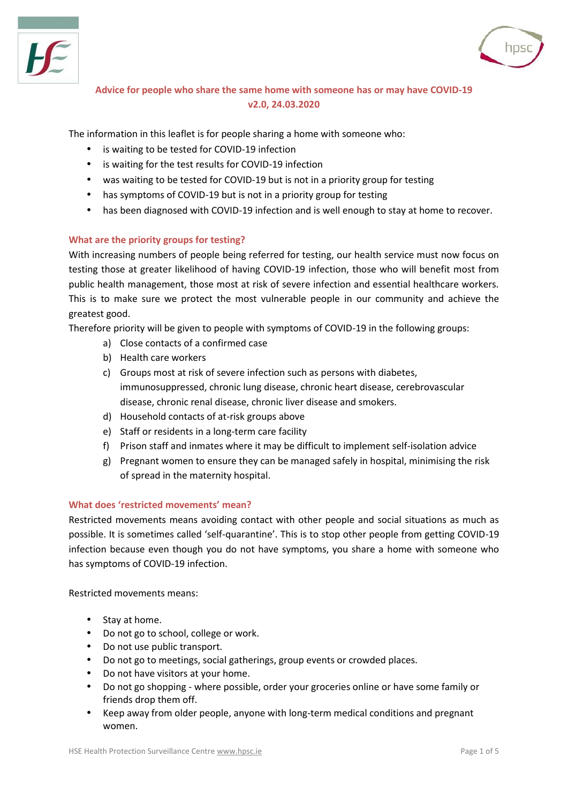



# **Advice for people who share the same home with someone has or may have COVID-19 v2.0, 24.03.2020**

The information in this leaflet is for people sharing a home with someone who:

- is waiting to be tested for COVID-19 infection
- is waiting for the test results for COVID-19 infection
- was waiting to be tested for COVID-19 but is not in a priority group for testing
- has symptoms of COVID-19 but is not in a priority group for testing
- has been diagnosed with COVID-19 infection and is well enough to stay at home to recover.

### **What are the priority groups for testing?**

With increasing numbers of people being referred for testing, our health service must now focus on testing those at greater likelihood of having COVID-19 infection, those who will benefit most from public health management, those most at risk of severe infection and essential healthcare workers. This is to make sure we protect the most vulnerable people in our community and achieve the greatest good.

Therefore priority will be given to people with symptoms of COVID-19 in the following groups:

- a) Close contacts of a confirmed case
- b) Health care workers
- c) Groups most at risk of severe infection such as persons with diabetes, immunosuppressed, chronic lung disease, chronic heart disease, cerebrovascular disease, chronic renal disease, chronic liver disease and smokers.
- d) Household contacts of at-risk groups above
- e) Staff or residents in a long-term care facility
- f) Prison staff and inmates where it may be difficult to implement self-isolation advice
- g) Pregnant women to ensure they can be managed safely in hospital, minimising the risk of spread in the maternity hospital.

### **What does 'restricted movements' mean?**

Restricted movements means avoiding contact with other people and social situations as much as possible. It is sometimes called 'self-quarantine'. This is to stop other people from getting COVID-19 infection because even though you do not have symptoms, you share a home with someone who has symptoms of COVID-19 infection.

Restricted movements means:

- Stay at home.
- Do not go to school, college or work.
- Do not use public transport.
- Do not go to meetings, social gatherings, group events or crowded places.
- Do not have visitors at your home.
- Do not go shopping where possible, order your groceries online or have some family or friends drop them off.
- Keep away from older people, anyone with long-term medical conditions and pregnant women.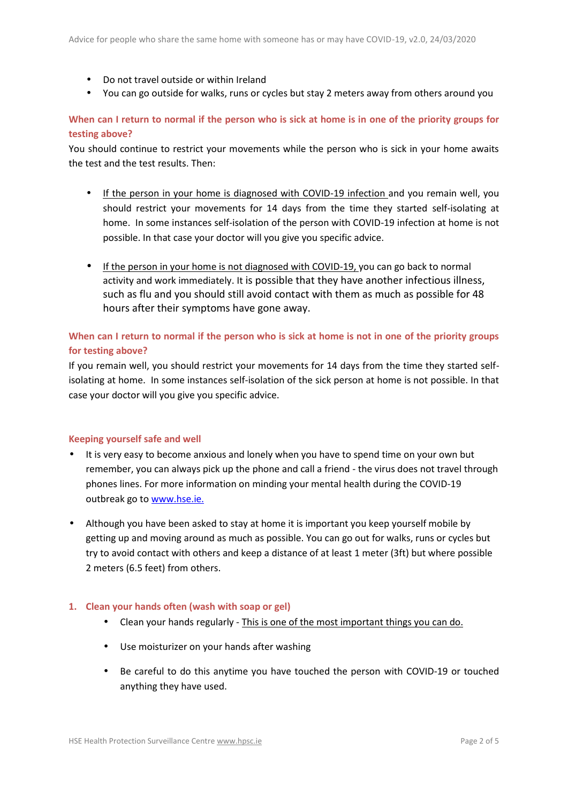- Do not travel outside or within Ireland
- You can go outside for walks, runs or cycles but stay 2 meters away from others around you

## **When can I return to normal if the person who is sick at home is in one of the priority groups for testing above?**

You should continue to restrict your movements while the person who is sick in your home awaits the test and the test results. Then:

- If the person in your home is diagnosed with COVID-19 infection and you remain well, you should restrict your movements for 14 days from the time they started self-isolating at home. In some instances self-isolation of the person with COVID-19 infection at home is not possible. In that case your doctor will you give you specific advice.
- If the person in your home is not diagnosed with COVID-19, you can go back to normal activity and work immediately. It is possible that they have another infectious illness, such as flu and you should still avoid contact with them as much as possible for 48 hours after their symptoms have gone away.

# **When can I return to normal if the person who is sick at home is not in one of the priority groups for testing above?**

If you remain well, you should restrict your movements for 14 days from the time they started selfisolating at home. In some instances self-isolation of the sick person at home is not possible. In that case your doctor will you give you specific advice.

#### **Keeping yourself safe and well**

- It is very easy to become anxious and lonely when you have to spend time on your own but remember, you can always pick up the phone and call a friend - the virus does not travel through phones lines. For more information on minding your mental health during the COVID-19 outbreak go to www.hse.ie.
- Although you have been asked to stay at home it is important you keep yourself mobile by getting up and moving around as much as possible. You can go out for walks, runs or cycles but try to avoid contact with others and keep a distance of at least 1 meter (3ft) but where possible 2 meters (6.5 feet) from others.

#### **1. Clean your hands often (wash with soap or gel)**

- Clean your hands regularly This is one of the most important things you can do.
- Use moisturizer on your hands after washing
- Be careful to do this anytime you have touched the person with COVID-19 or touched anything they have used.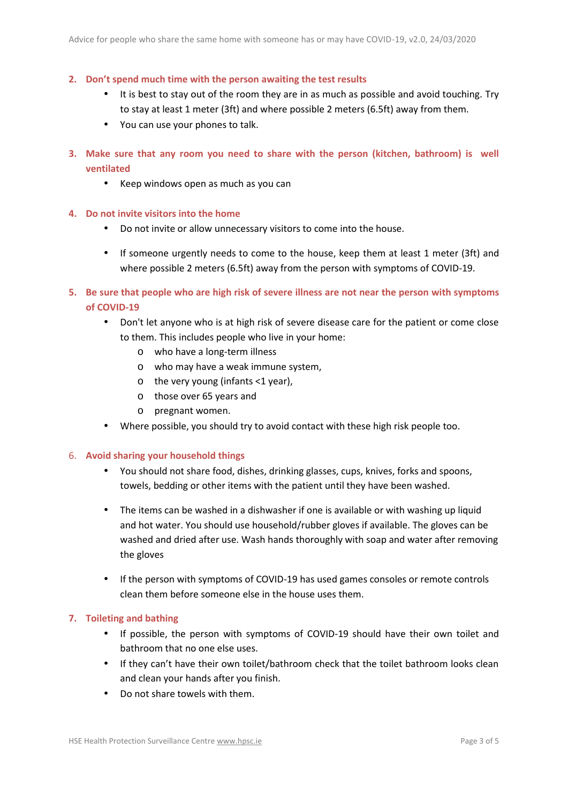- **2. Don't spend much time with the person awaiting the test results**
	- It is best to stay out of the room they are in as much as possible and avoid touching. Try to stay at least 1 meter (3ft) and where possible 2 meters (6.5ft) away from them.
	- You can use your phones to talk.
- **3. Make sure that any room you need to share with the person (kitchen, bathroom) is well ventilated**
	- Keep windows open as much as you can
- **4. Do not invite visitors into the home**
	- Do not invite or allow unnecessary visitors to come into the house.
	- If someone urgently needs to come to the house, keep them at least 1 meter (3ft) and where possible 2 meters (6.5ft) away from the person with symptoms of COVID-19.
- **5. Be sure that people who are high risk of severe illness are not near the person with symptoms of COVID-19**
	- Don't let anyone who is at high risk of severe disease care for the patient or come close to them. This includes people who live in your home:
		- o who have a long-term illness
		- o who may have a weak immune system,
		- $\circ$  the very young (infants <1 year),
		- o those over 65 years and
		- o pregnant women.
	- Where possible, you should try to avoid contact with these high risk people too.

#### 6. **Avoid sharing your household things**

- You should not share food, dishes, drinking glasses, cups, knives, forks and spoons, towels, bedding or other items with the patient until they have been washed.
- The items can be washed in a dishwasher if one is available or with washing up liquid and hot water. You should use household/rubber gloves if available. The gloves can be washed and dried after use. Wash hands thoroughly with soap and water after removing the gloves
- If the person with symptoms of COVID-19 has used games consoles or remote controls clean them before someone else in the house uses them.

#### **7. Toileting and bathing**

- If possible, the person with symptoms of COVID-19 should have their own toilet and bathroom that no one else uses.
- If they can't have their own toilet/bathroom check that the toilet bathroom looks clean and clean your hands after you finish.
- Do not share towels with them.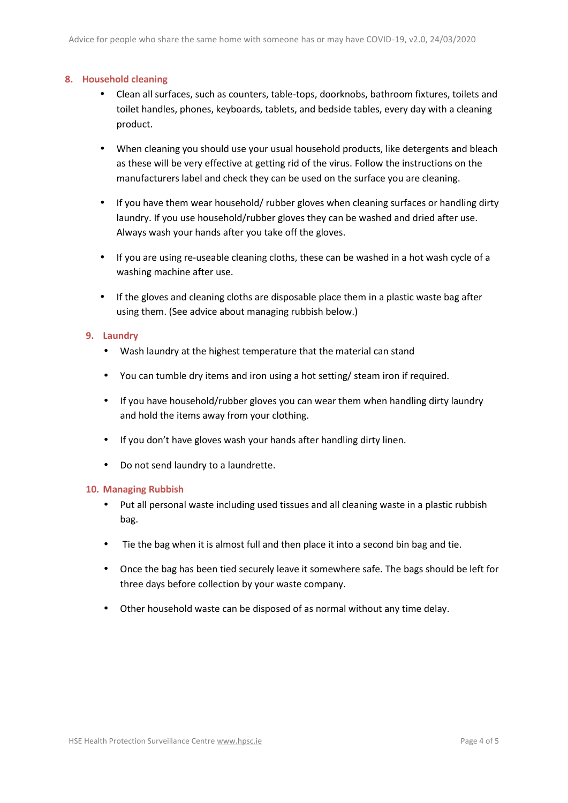#### **8. Household cleaning**

- Clean all surfaces, such as counters, table-tops, doorknobs, bathroom fixtures, toilets and toilet handles, phones, keyboards, tablets, and bedside tables, every day with a cleaning product.
- When cleaning you should use your usual household products, like detergents and bleach as these will be very effective at getting rid of the virus. Follow the instructions on the manufacturers label and check they can be used on the surface you are cleaning.
- If you have them wear household/ rubber gloves when cleaning surfaces or handling dirty laundry. If you use household/rubber gloves they can be washed and dried after use. Always wash your hands after you take off the gloves.
- If you are using re-useable cleaning cloths, these can be washed in a hot wash cycle of a washing machine after use.
- If the gloves and cleaning cloths are disposable place them in a plastic waste bag after using them. (See advice about managing rubbish below.)

#### **9. Laundry**

- Wash laundry at the highest temperature that the material can stand
- You can tumble dry items and iron using a hot setting/ steam iron if required.
- If you have household/rubber gloves you can wear them when handling dirty laundry and hold the items away from your clothing.
- If you don't have gloves wash your hands after handling dirty linen.
- Do not send laundry to a laundrette.

#### **10. Managing Rubbish**

- Put all personal waste including used tissues and all cleaning waste in a plastic rubbish bag.
- Tie the bag when it is almost full and then place it into a second bin bag and tie.
- Once the bag has been tied securely leave it somewhere safe. The bags should be left for three days before collection by your waste company.
- Other household waste can be disposed of as normal without any time delay.